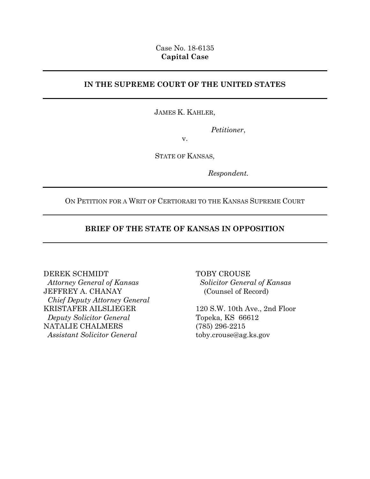## Case No. 18-6135 **Capital Case**

# **IN THE SUPREME COURT OF THE UNITED STATES**

## JAMES K. KAHLER,

*Petitioner*,

v.

STATE OF KANSAS,

*Respondent.*

ON PETITION FOR A WRIT OF CERTIORARI TO THE KANSAS SUPREME COURT

# **BRIEF OF THE STATE OF KANSAS IN OPPOSITION**

### DEREK SCHMIDT

 *Attorney General of Kansas* JEFFREY A. CHANAY  *Chief Deputy Attorney General* KRISTAFER AILSLIEGER  *Deputy Solicitor General* NATALIE CHALMERS  *Assistant Solicitor General*

TOBY CROUSE  *Solicitor General of Kansas* (Counsel of Record)

120 S.W. 10th Ave., 2nd Floor Topeka, KS 66612 (785) 296-2215 toby.crouse@ag.ks.gov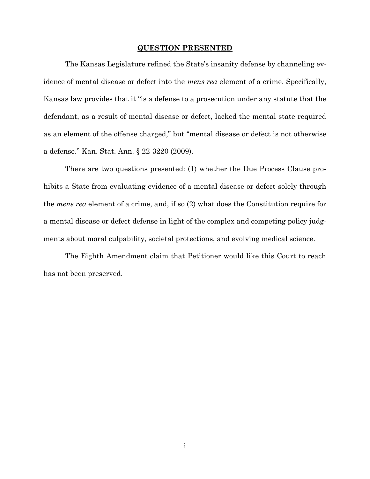#### **QUESTION PRESENTED**

<span id="page-1-0"></span>The Kansas Legislature refined the State's insanity defense by channeling evidence of mental disease or defect into the *mens rea* element of a crime. Specifically, Kansas law provides that it "is a defense to a prosecution under any statute that the defendant, as a result of mental disease or defect, lacked the mental state required as an element of the offense charged," but "mental disease or defect is not otherwise a defense." Kan. Stat. Ann. § 22-3220 (2009).

There are two questions presented: (1) whether the Due Process Clause prohibits a State from evaluating evidence of a mental disease or defect solely through the *mens rea* element of a crime, and, if so (2) what does the Constitution require for a mental disease or defect defense in light of the complex and competing policy judgments about moral culpability, societal protections, and evolving medical science.

The Eighth Amendment claim that Petitioner would like this Court to reach has not been preserved.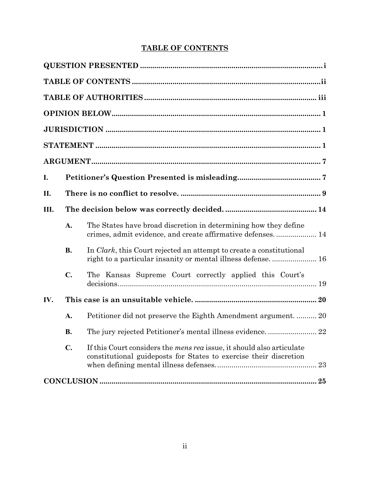# **TABLE OF CONTENTS**

<span id="page-2-0"></span>

| I.  |                |                                                                                                                                                   |  |  |  |
|-----|----------------|---------------------------------------------------------------------------------------------------------------------------------------------------|--|--|--|
| П.  |                |                                                                                                                                                   |  |  |  |
| Ш.  |                |                                                                                                                                                   |  |  |  |
|     | A.             | The States have broad discretion in determining how they define<br>crimes, admit evidence, and create affirmative defenses 14                     |  |  |  |
|     | <b>B.</b>      | In <i>Clark</i> , this Court rejected an attempt to create a constitutional<br>right to a particular insanity or mental illness defense.  16      |  |  |  |
|     | $\mathbf{C}$ . | The Kansas Supreme Court correctly applied this Court's                                                                                           |  |  |  |
| IV. | 20             |                                                                                                                                                   |  |  |  |
|     | A.             |                                                                                                                                                   |  |  |  |
|     | <b>B.</b>      |                                                                                                                                                   |  |  |  |
|     | $\mathbf{C}$ . | If this Court considers the <i>mens rea</i> issue, it should also articulate<br>constitutional guideposts for States to exercise their discretion |  |  |  |
|     |                |                                                                                                                                                   |  |  |  |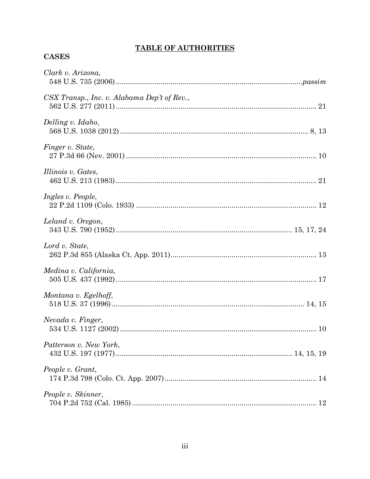# **TABLE OF AUTHORITIES**

# <span id="page-3-0"></span>**CASES**

| Clark v. Arizona,                           |
|---------------------------------------------|
| CSX Transp., Inc. v. Alabama Dep't of Rev., |
| Delling v. Idaho,                           |
| Finger v. State,                            |
| Illinois v. Gates,                          |
| Ingles v. People,                           |
| Leland v. Oregon,                           |
| Lord v. State,                              |
| Medina v. California,                       |
| Montana v. Egelhoff,                        |
| Nevada v. Finger,                           |
| Patterson v. New York,                      |
| People v. Grant,                            |
| People v. Skinner,                          |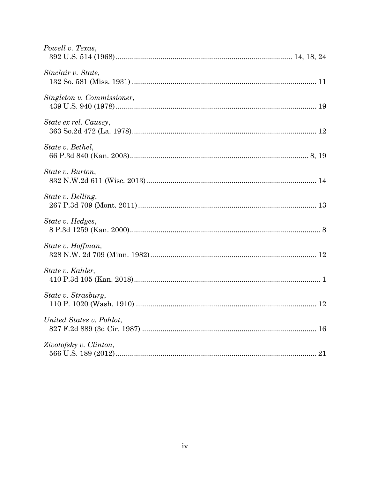| Powell v. Texas,           |
|----------------------------|
| Sinclair v. State,         |
| Singleton v. Commissioner, |
| State ex rel. Causey,      |
| State v. Bethel,           |
| State v. Burton,           |
| State v. Delling,          |
| State v. Hedges,           |
| State v. Hoffman,          |
| State v. Kahler,           |
| State v. Strasburg,        |
| United States v. Pohlot,   |
| Zivotofsky v. Clinton,     |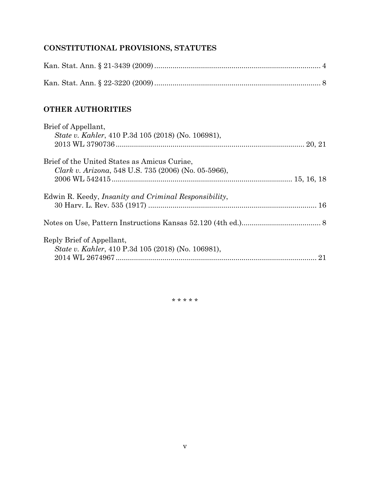# **CONSTITUTIONAL PROVISIONS, STATUTES**

# **OTHER AUTHORITIES**

| Brief of Appellant,                                           |    |
|---------------------------------------------------------------|----|
| <i>State v. Kahler</i> , 410 P.3d 105 (2018) (No. 106981),    |    |
|                                                               |    |
| Brief of the United States as Amicus Curiae,                  |    |
| Clark v. Arizona, 548 U.S. 735 (2006) (No. 05-5966),          |    |
|                                                               |    |
| Edwin R. Keedy, <i>Insanity and Criminal Responsibility</i> , |    |
|                                                               |    |
|                                                               |    |
| Reply Brief of Appellant,                                     |    |
| <i>State v. Kahler</i> , 410 P.3d 105 (2018) (No. 106981),    |    |
|                                                               | 21 |

\* \* \* \* \*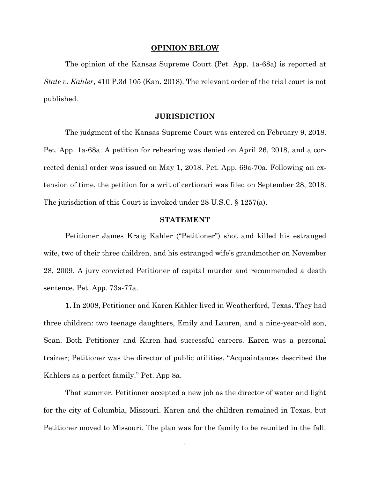#### **OPINION BELOW**

<span id="page-6-0"></span>The opinion of the Kansas Supreme Court (Pet. App. 1a-68a) is reported at *State v. Kahler*, 410 P.3d 105 (Kan. 2018). The relevant order of the trial court is not published.

#### **JURISDICTION**

<span id="page-6-1"></span>The judgment of the Kansas Supreme Court was entered on February 9, 2018. Pet. App. 1a-68a. A petition for rehearing was denied on April 26, 2018, and a corrected denial order was issued on May 1, 2018. Pet. App. 69a-70a. Following an extension of time, the petition for a writ of certiorari was filed on September 28, 2018. The jurisdiction of this Court is invoked under 28 U.S.C. § 1257(a).

#### **STATEMENT**

<span id="page-6-2"></span>Petitioner James Kraig Kahler ("Petitioner") shot and killed his estranged wife, two of their three children, and his estranged wife's grandmother on November 28, 2009. A jury convicted Petitioner of capital murder and recommended a death sentence. Pet. App. 73a-77a.

**1.** In 2008, Petitioner and Karen Kahler lived in Weatherford, Texas. They had three children: two teenage daughters, Emily and Lauren, and a nine-year-old son, Sean. Both Petitioner and Karen had successful careers. Karen was a personal trainer; Petitioner was the director of public utilities. "Acquaintances described the Kahlers as a perfect family." Pet. App 8a.

That summer, Petitioner accepted a new job as the director of water and light for the city of Columbia, Missouri. Karen and the children remained in Texas, but Petitioner moved to Missouri. The plan was for the family to be reunited in the fall.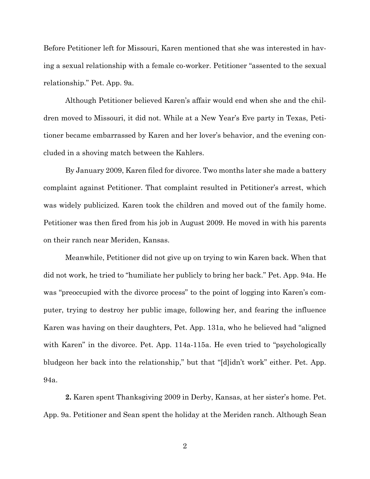Before Petitioner left for Missouri, Karen mentioned that she was interested in having a sexual relationship with a female co-worker. Petitioner "assented to the sexual relationship." Pet. App. 9a.

Although Petitioner believed Karen's affair would end when she and the children moved to Missouri, it did not. While at a New Year's Eve party in Texas, Petitioner became embarrassed by Karen and her lover's behavior, and the evening concluded in a shoving match between the Kahlers.

By January 2009, Karen filed for divorce. Two months later she made a battery complaint against Petitioner. That complaint resulted in Petitioner's arrest, which was widely publicized. Karen took the children and moved out of the family home. Petitioner was then fired from his job in August 2009. He moved in with his parents on their ranch near Meriden, Kansas.

Meanwhile, Petitioner did not give up on trying to win Karen back. When that did not work, he tried to "humiliate her publicly to bring her back." Pet. App. 94a. He was "preoccupied with the divorce process" to the point of logging into Karen's computer, trying to destroy her public image, following her, and fearing the influence Karen was having on their daughters, Pet. App. 131a, who he believed had "aligned with Karen" in the divorce. Pet. App. 114a-115a. He even tried to "psychologically bludgeon her back into the relationship," but that "[d]idn't work" either. Pet. App. 94a.

**2.** Karen spent Thanksgiving 2009 in Derby, Kansas, at her sister's home. Pet. App. 9a. Petitioner and Sean spent the holiday at the Meriden ranch. Although Sean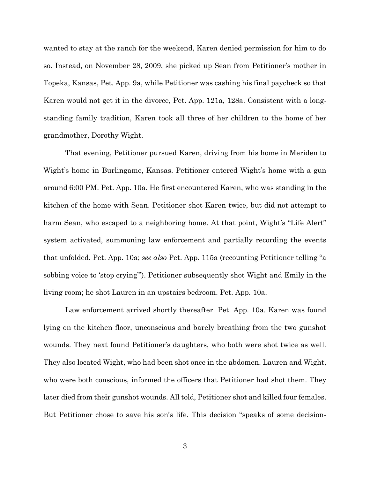wanted to stay at the ranch for the weekend, Karen denied permission for him to do so. Instead, on November 28, 2009, she picked up Sean from Petitioner's mother in Topeka, Kansas, Pet. App. 9a, while Petitioner was cashing his final paycheck so that Karen would not get it in the divorce, Pet. App. 121a, 128a. Consistent with a longstanding family tradition, Karen took all three of her children to the home of her grandmother, Dorothy Wight.

That evening, Petitioner pursued Karen, driving from his home in Meriden to Wight's home in Burlingame, Kansas. Petitioner entered Wight's home with a gun around 6:00 PM. Pet. App. 10a. He first encountered Karen, who was standing in the kitchen of the home with Sean. Petitioner shot Karen twice, but did not attempt to harm Sean, who escaped to a neighboring home. At that point, Wight's "Life Alert" system activated, summoning law enforcement and partially recording the events that unfolded. Pet. App. 10a; *see also* Pet. App. 115a (recounting Petitioner telling "a sobbing voice to 'stop crying'"). Petitioner subsequently shot Wight and Emily in the living room; he shot Lauren in an upstairs bedroom. Pet. App. 10a.

Law enforcement arrived shortly thereafter. Pet. App. 10a. Karen was found lying on the kitchen floor, unconscious and barely breathing from the two gunshot wounds. They next found Petitioner's daughters, who both were shot twice as well. They also located Wight, who had been shot once in the abdomen. Lauren and Wight, who were both conscious, informed the officers that Petitioner had shot them. They later died from their gunshot wounds. All told, Petitioner shot and killed four females. But Petitioner chose to save his son's life. This decision "speaks of some decision-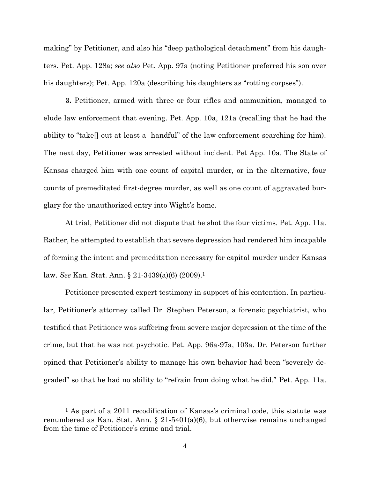making" by Petitioner, and also his "deep pathological detachment" from his daughters. Pet. App. 128a; *see also* Pet. App. 97a (noting Petitioner preferred his son over his daughters); Pet. App. 120a (describing his daughters as "rotting corpses").

**3.** Petitioner, armed with three or four rifles and ammunition, managed to elude law enforcement that evening. Pet. App. 10a, 121a (recalling that he had the ability to "take[] out at least a handful" of the law enforcement searching for him). The next day, Petitioner was arrested without incident. Pet App. 10a. The State of Kansas charged him with one count of capital murder, or in the alternative, four counts of premeditated first-degree murder, as well as one count of aggravated burglary for the unauthorized entry into Wight's home.

At trial, Petitioner did not dispute that he shot the four victims. Pet. App. 11a. Rather, he attempted to establish that severe depression had rendered him incapable of forming the intent and premeditation necessary for capital murder under Kansas law. *See* Kan. Stat. Ann. § 21-3439(a)(6) (2009).<sup>1</sup>

Petitioner presented expert testimony in support of his contention. In particular, Petitioner's attorney called Dr. Stephen Peterson, a forensic psychiatrist, who testified that Petitioner was suffering from severe major depression at the time of the crime, but that he was not psychotic. Pet. App. 96a-97a, 103a. Dr. Peterson further opined that Petitioner's ability to manage his own behavior had been "severely degraded" so that he had no ability to "refrain from doing what he did." Pet. App. 11a.

l

<sup>1</sup> As part of a 2011 recodification of Kansas's criminal code, this statute was renumbered as Kan. Stat. Ann. § 21-5401(a)(6), but otherwise remains unchanged from the time of Petitioner's crime and trial.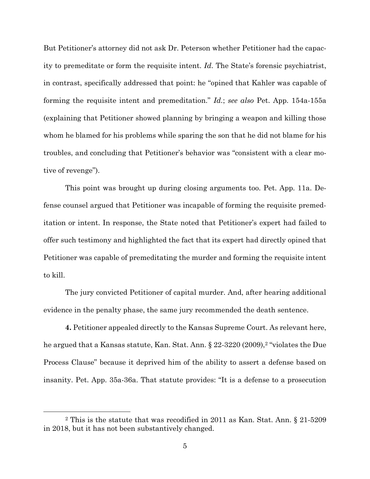But Petitioner's attorney did not ask Dr. Peterson whether Petitioner had the capacity to premeditate or form the requisite intent. *Id*. The State's forensic psychiatrist, in contrast, specifically addressed that point: he "opined that Kahler was capable of forming the requisite intent and premeditation." *Id.*; *see also* Pet. App. 154a-155a (explaining that Petitioner showed planning by bringing a weapon and killing those whom he blamed for his problems while sparing the son that he did not blame for his troubles, and concluding that Petitioner's behavior was "consistent with a clear motive of revenge").

This point was brought up during closing arguments too. Pet. App. 11a. Defense counsel argued that Petitioner was incapable of forming the requisite premeditation or intent. In response, the State noted that Petitioner's expert had failed to offer such testimony and highlighted the fact that its expert had directly opined that Petitioner was capable of premeditating the murder and forming the requisite intent to kill.

The jury convicted Petitioner of capital murder. And, after hearing additional evidence in the penalty phase, the same jury recommended the death sentence.

**4.** Petitioner appealed directly to the Kansas Supreme Court. As relevant here, he argued that a Kansas statute, Kan. Stat. Ann. § 22-3220 (2009),<sup>2</sup> "violates the Due Process Clause" because it deprived him of the ability to assert a defense based on insanity. Pet. App. 35a-36a. That statute provides: "It is a defense to a prosecution

 $\overline{a}$ 

<sup>2</sup> This is the statute that was recodified in 2011 as Kan. Stat. Ann. § 21-5209 in 2018, but it has not been substantively changed.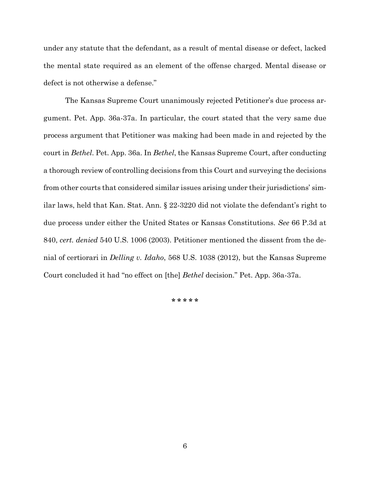under any statute that the defendant, as a result of mental disease or defect, lacked the mental state required as an element of the offense charged. Mental disease or defect is not otherwise a defense."

The Kansas Supreme Court unanimously rejected Petitioner's due process argument. Pet. App. 36a-37a. In particular, the court stated that the very same due process argument that Petitioner was making had been made in and rejected by the court in *Bethel*. Pet. App. 36a. In *Bethel*, the Kansas Supreme Court, after conducting a thorough review of controlling decisions from this Court and surveying the decisions from other courts that considered similar issues arising under their jurisdictions' similar laws, held that Kan. Stat. Ann. § 22-3220 did not violate the defendant's right to due process under either the United States or Kansas Constitutions. *See* 66 P.3d at 840, *cert. denied* 540 U.S. 1006 (2003). Petitioner mentioned the dissent from the denial of certiorari in *Delling v. Idaho*, 568 U.S. 1038 (2012), but the Kansas Supreme Court concluded it had "no effect on [the] *Bethel* decision." Pet. App. 36a-37a.

**\* \* \* \* \***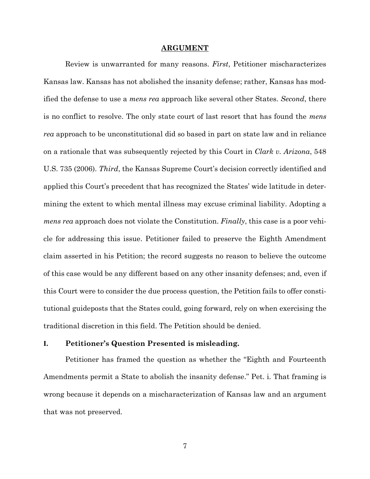#### **ARGUMENT**

<span id="page-12-0"></span>Review is unwarranted for many reasons. *First*, Petitioner mischaracterizes Kansas law. Kansas has not abolished the insanity defense; rather, Kansas has modified the defense to use a *mens rea* approach like several other States. *Second*, there is no conflict to resolve. The only state court of last resort that has found the *mens rea* approach to be unconstitutional did so based in part on state law and in reliance on a rationale that was subsequently rejected by this Court in *Clark v. Arizona*, 548 U.S. 735 (2006). *Third*, the Kansas Supreme Court's decision correctly identified and applied this Court's precedent that has recognized the States' wide latitude in determining the extent to which mental illness may excuse criminal liability. Adopting a *mens rea* approach does not violate the Constitution. *Finally*, this case is a poor vehicle for addressing this issue. Petitioner failed to preserve the Eighth Amendment claim asserted in his Petition; the record suggests no reason to believe the outcome of this case would be any different based on any other insanity defenses; and, even if this Court were to consider the due process question, the Petition fails to offer constitutional guideposts that the States could, going forward, rely on when exercising the traditional discretion in this field. The Petition should be denied.

### <span id="page-12-1"></span>**I. Petitioner's Question Presented is misleading.**

Petitioner has framed the question as whether the "Eighth and Fourteenth Amendments permit a State to abolish the insanity defense." Pet. i. That framing is wrong because it depends on a mischaracterization of Kansas law and an argument that was not preserved.

7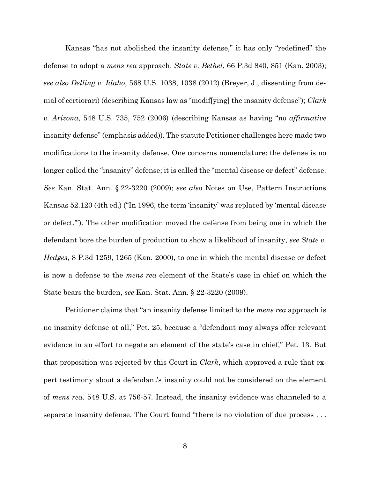Kansas "has not abolished the insanity defense," it has only "redefined" the defense to adopt a *mens rea* approach. *State v. Bethel*, 66 P.3d 840, 851 (Kan. 2003); *see also Delling v. Idaho*, 568 U.S. 1038, 1038 (2012) (Breyer, J., dissenting from denial of certiorari) (describing Kansas law as "modif[ying] the insanity defense"); *Clark v. Arizona*, 548 U.S. 735, 752 (2006) (describing Kansas as having "no *affirmative* insanity defense" (emphasis added)). The statute Petitioner challenges here made two modifications to the insanity defense. One concerns nomenclature: the defense is no longer called the "insanity" defense; it is called the "mental disease or defect" defense. *See* Kan. Stat. Ann. § 22-3220 (2009); *see also* Notes on Use, Pattern Instructions Kansas 52.120 (4th ed.) ("In 1996, the term 'insanity' was replaced by 'mental disease or defect.'"). The other modification moved the defense from being one in which the defendant bore the burden of production to show a likelihood of insanity, *see State v. Hedges*, 8 P.3d 1259, 1265 (Kan. 2000), to one in which the mental disease or defect is now a defense to the *mens rea* element of the State's case in chief on which the State bears the burden, *see* Kan. Stat. Ann. § 22-3220 (2009).

Petitioner claims that "an insanity defense limited to the *mens rea* approach is no insanity defense at all," Pet. 25, because a "defendant may always offer relevant evidence in an effort to negate an element of the state's case in chief," Pet. 13. But that proposition was rejected by this Court in *Clark*, which approved a rule that expert testimony about a defendant's insanity could not be considered on the element of *mens rea*. 548 U.S. at 756-57. Instead, the insanity evidence was channeled to a separate insanity defense. The Court found "there is no violation of due process . . .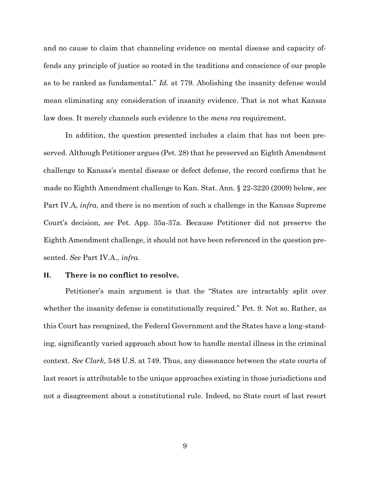and no cause to claim that channeling evidence on mental disease and capacity offends any principle of justice so rooted in the traditions and conscience of our people as to be ranked as fundamental." *Id.* at 779. Abolishing the insanity defense would mean eliminating any consideration of insanity evidence. That is not what Kansas law does. It merely channels such evidence to the *mens rea* requirement.

In addition, the question presented includes a claim that has not been preserved. Although Petitioner argues (Pet. 28) that he preserved an Eighth Amendment challenge to Kansas's mental disease or defect defense, the record confirms that he made no Eighth Amendment challenge to Kan. Stat. Ann. § 22-3220 (2009) below, *see*  Part IV.A, *infra*, and there is no mention of such a challenge in the Kansas Supreme Court's decision, *see* Pet. App. 35a-37a. Because Petitioner did not preserve the Eighth Amendment challenge, it should not have been referenced in the question presented. *See* Part IV.A., *infra.*

### <span id="page-14-0"></span>**II. There is no conflict to resolve.**

Petitioner's main argument is that the "States are intractably split over whether the insanity defense is constitutionally required." Pet. 9. Not so. Rather, as this Court has recognized, the Federal Government and the States have a long-standing, significantly varied approach about how to handle mental illness in the criminal context. *See Clark*, 548 U.S. at 749. Thus, any dissonance between the state courts of last resort is attributable to the unique approaches existing in those jurisdictions and not a disagreement about a constitutional rule. Indeed, no State court of last resort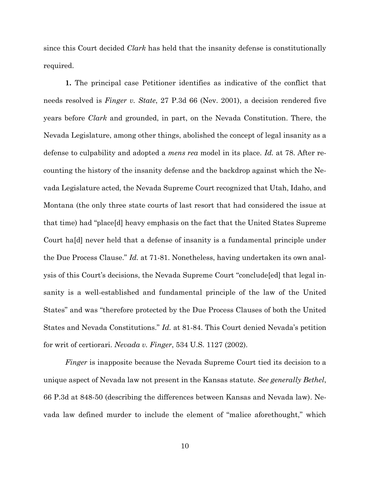since this Court decided *Clark* has held that the insanity defense is constitutionally required.

**1.** The principal case Petitioner identifies as indicative of the conflict that needs resolved is *Finger v. State*, 27 P.3d 66 (Nev. 2001), a decision rendered five years before *Clark* and grounded, in part, on the Nevada Constitution. There, the Nevada Legislature, among other things, abolished the concept of legal insanity as a defense to culpability and adopted a *mens rea* model in its place. *Id.* at 78. After recounting the history of the insanity defense and the backdrop against which the Nevada Legislature acted, the Nevada Supreme Court recognized that Utah, Idaho, and Montana (the only three state courts of last resort that had considered the issue at that time) had "place[d] heavy emphasis on the fact that the United States Supreme Court ha[d] never held that a defense of insanity is a fundamental principle under the Due Process Clause." *Id.* at 71-81. Nonetheless, having undertaken its own analysis of this Court's decisions, the Nevada Supreme Court "conclude[ed] that legal insanity is a well-established and fundamental principle of the law of the United States" and was "therefore protected by the Due Process Clauses of both the United States and Nevada Constitutions." *Id.* at 81-84. This Court denied Nevada's petition for writ of certiorari. *Nevada v. Finger*, 534 U.S. 1127 (2002).

*Finger* is inapposite because the Nevada Supreme Court tied its decision to a unique aspect of Nevada law not present in the Kansas statute. *See generally Bethel*, 66 P.3d at 848-50 (describing the differences between Kansas and Nevada law). Nevada law defined murder to include the element of "malice aforethought," which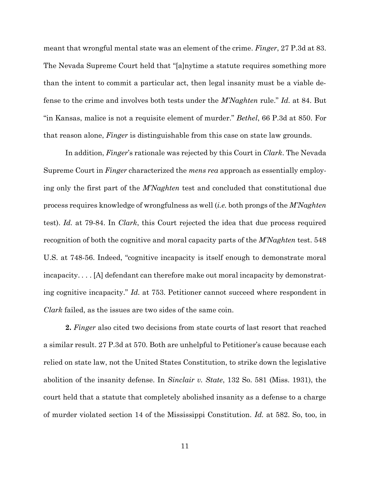meant that wrongful mental state was an element of the crime. *Finger*, 27 P.3d at 83. The Nevada Supreme Court held that "[a]nytime a statute requires something more than the intent to commit a particular act, then legal insanity must be a viable defense to the crime and involves both tests under the *M'Naghten* rule." *Id.* at 84. But "in Kansas, malice is not a requisite element of murder." *Bethel*, 66 P.3d at 850. For that reason alone, *Finger* is distinguishable from this case on state law grounds.

In addition, *Finger*'s rationale was rejected by this Court in *Clark*. The Nevada Supreme Court in *Finger* characterized the *mens rea* approach as essentially employing only the first part of the *M'Naghten* test and concluded that constitutional due process requires knowledge of wrongfulness as well (*i.e.* both prongs of the *M'Naghten* test). *Id.* at 79-84. In *Clark*, this Court rejected the idea that due process required recognition of both the cognitive and moral capacity parts of the *M'Naghten* test. 548 U.S. at 748-56. Indeed, "cognitive incapacity is itself enough to demonstrate moral incapacity. . . . [A] defendant can therefore make out moral incapacity by demonstrating cognitive incapacity." *Id.* at 753. Petitioner cannot succeed where respondent in *Clark* failed, as the issues are two sides of the same coin.

**2.** *Finger* also cited two decisions from state courts of last resort that reached a similar result. 27 P.3d at 570. Both are unhelpful to Petitioner's cause because each relied on state law, not the United States Constitution, to strike down the legislative abolition of the insanity defense. In *Sinclair v. State*, 132 So. 581 (Miss. 1931), the court held that a statute that completely abolished insanity as a defense to a charge of murder violated section 14 of the Mississippi Constitution. *Id.* at 582. So, too, in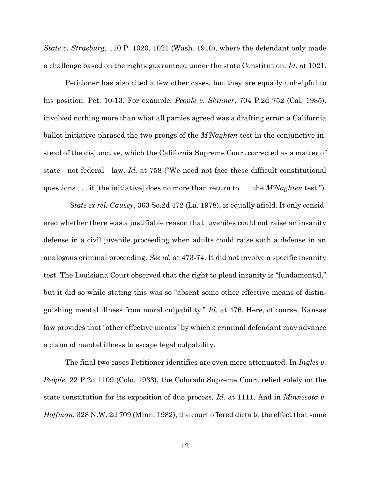*State v. Strasburg*, 110 P. 1020, 1021 (Wash. 1910), where the defendant only made a challenge based on the rights guaranteed under the state Constitution. *Id.* at 1021.

Petitioner has also cited a few other cases, but they are equally unhelpful to his position. Pet. 10-13. For example, *People v. Skinner*, 704 P.2d 752 (Cal. 1985), involved nothing more than what all parties agreed was a drafting error: a California ballot initiative phrased the two prongs of the *M'Naghten* test in the conjunctive instead of the disjunctive, which the California Supreme Court corrected as a matter of state—not federal—law. *Id.* at 758 ("We need not face these difficult constitutional questions . . . if [the initiative] does no more than return to . . . the *M'Naghten* test.").

 *State ex rel. Causey*, 363 So.2d 472 (La. 1978), is equally afield. It only considered whether there was a justifiable reason that juveniles could not raise an insanity defense in a civil juvenile proceeding when adults could raise such a defense in an analogous criminal proceeding. *See id.* at 473-74. It did not involve a specific insanity test. The Louisiana Court observed that the right to plead insanity is "fundamental," but it did so while stating this was so "absent some other effective means of distinguishing mental illness from moral culpability." *Id.* at 476. Here, of course, Kansas law provides that "other effective means" by which a criminal defendant may advance a claim of mental illness to escape legal culpability.

The final two cases Petitioner identifies are even more attenuated. In *Ingles v. People*, 22 P.2d 1109 (Colo. 1933), the Colorado Supreme Court relied solely on the state constitution for its exposition of due process. *Id.* at 1111. And in *Minnesota v. Hoffman*, 328 N.W. 2d 709 (Minn. 1982), the court offered dicta to the effect that some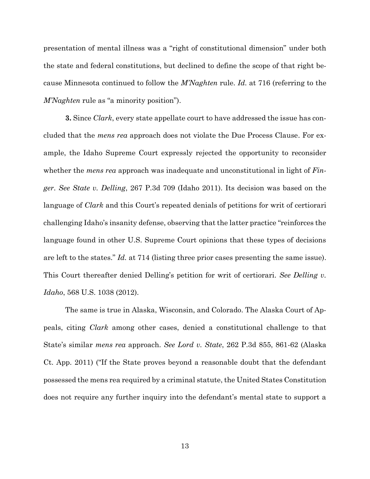presentation of mental illness was a "right of constitutional dimension" under both the state and federal constitutions, but declined to define the scope of that right because Minnesota continued to follow the *M'Naghten* rule. *Id.* at 716 (referring to the *M'Naghten* rule as "a minority position").

**3.** Since *Clark*, every state appellate court to have addressed the issue has concluded that the *mens rea* approach does not violate the Due Process Clause. For example, the Idaho Supreme Court expressly rejected the opportunity to reconsider whether the *mens rea* approach was inadequate and unconstitutional in light of *Finger*. *See State v. Delling*, 267 P.3d 709 (Idaho 2011). Its decision was based on the language of *Clark* and this Court's repeated denials of petitions for writ of certiorari challenging Idaho's insanity defense, observing that the latter practice "reinforces the language found in other U.S. Supreme Court opinions that these types of decisions are left to the states." *Id.* at 714 (listing three prior cases presenting the same issue). This Court thereafter denied Delling's petition for writ of certiorari. *See Delling v. Idaho*, 568 U.S. 1038 (2012).

The same is true in Alaska, Wisconsin, and Colorado. The Alaska Court of Appeals, citing *Clark* among other cases, denied a constitutional challenge to that State's similar *mens rea* approach. *See Lord v. State*, 262 P.3d 855, 861-62 (Alaska Ct. App. 2011) ("If the State proves beyond a reasonable doubt that the defendant possessed the mens rea required by a criminal statute, the United States Constitution does not require any further inquiry into the defendant's mental state to support a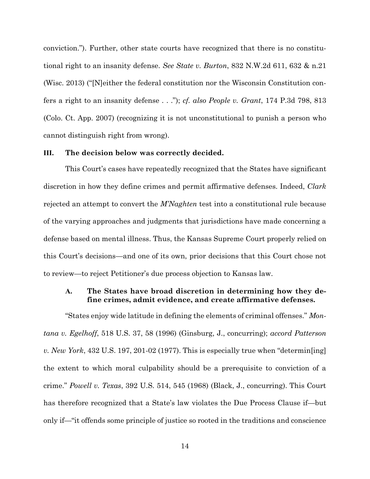conviction."). Further, other state courts have recognized that there is no constitutional right to an insanity defense. *See State v. Burton*, 832 N.W.2d 611, 632 & n.21 (Wisc. 2013) ("[N]either the federal constitution nor the Wisconsin Constitution confers a right to an insanity defense . . ."); *cf. also People v. Grant*, 174 P.3d 798, 813 (Colo. Ct. App. 2007) (recognizing it is not unconstitutional to punish a person who cannot distinguish right from wrong).

#### <span id="page-19-0"></span>**III. The decision below was correctly decided.**

This Court's cases have repeatedly recognized that the States have significant discretion in how they define crimes and permit affirmative defenses. Indeed, *Clark* rejected an attempt to convert the *M'Naghten* test into a constitutional rule because of the varying approaches and judgments that jurisdictions have made concerning a defense based on mental illness. Thus, the Kansas Supreme Court properly relied on this Court's decisions—and one of its own, prior decisions that this Court chose not to review—to reject Petitioner's due process objection to Kansas law.

## <span id="page-19-1"></span>**A. The States have broad discretion in determining how they define crimes, admit evidence, and create affirmative defenses.**

"States enjoy wide latitude in defining the elements of criminal offenses." *Montana v. Egelhoff*, 518 U.S. 37, 58 (1996) (Ginsburg, J., concurring); *accord Patterson v. New York*, 432 U.S. 197, 201-02 (1977). This is especially true when "determin[ing] the extent to which moral culpability should be a prerequisite to conviction of a crime." *Powell v. Texas*, 392 U.S. 514, 545 (1968) (Black, J., concurring). This Court has therefore recognized that a State's law violates the Due Process Clause if—but only if—"it offends some principle of justice so rooted in the traditions and conscience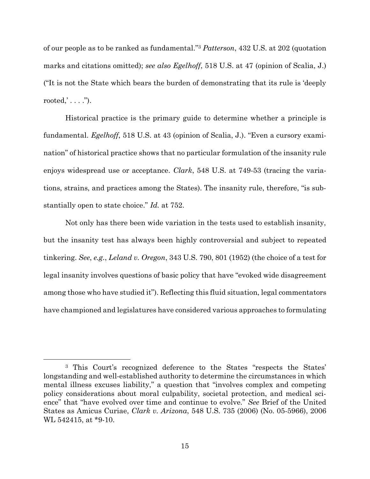of our people as to be ranked as fundamental."<sup>3</sup> *Patterson*, 432 U.S. at 202 (quotation marks and citations omitted); *see also Egelhoff*, 518 U.S. at 47 (opinion of Scalia, J.) ("It is not the State which bears the burden of demonstrating that its rule is 'deeply rooted,  $\ldots$  .").

Historical practice is the primary guide to determine whether a principle is fundamental. *Egelhoff*, 518 U.S. at 43 (opinion of Scalia, J.). "Even a cursory examination" of historical practice shows that no particular formulation of the insanity rule enjoys widespread use or acceptance. *Clark*, 548 U.S. at 749-53 (tracing the variations, strains, and practices among the States). The insanity rule, therefore, "is substantially open to state choice." *Id.* at 752.

Not only has there been wide variation in the tests used to establish insanity, but the insanity test has always been highly controversial and subject to repeated tinkering. *See*, *e.g.*, *Leland v. Oregon*, 343 U.S. 790, 801 (1952) (the choice of a test for legal insanity involves questions of basic policy that have "evoked wide disagreement among those who have studied it"). Reflecting this fluid situation, legal commentators have championed and legislatures have considered various approaches to formulating

l

<sup>3</sup> This Court's recognized deference to the States "respects the States' longstanding and well-established authority to determine the circumstances in which mental illness excuses liability," a question that "involves complex and competing policy considerations about moral culpability, societal protection, and medical science" that "have evolved over time and continue to evolve." *See* Brief of the United States as Amicus Curiae, *Clark v. Arizona*, 548 U.S. 735 (2006) (No. 05-5966), 2006 WL 542415, at \*9-10.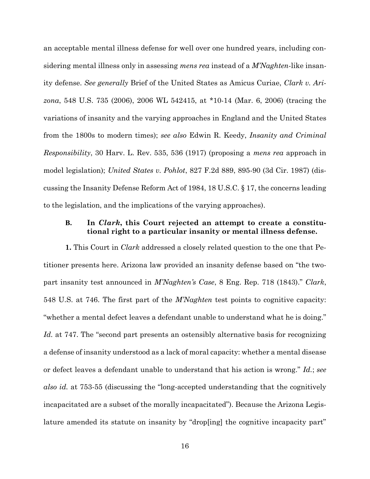an acceptable mental illness defense for well over one hundred years, including considering mental illness only in assessing *mens rea* instead of a *M'Naghten*-like insanity defense. *See generally* Brief of the United States as Amicus Curiae, *Clark v. Arizona*, 548 U.S. 735 (2006), 2006 WL 542415, at \*10-14 (Mar. 6, 2006) (tracing the variations of insanity and the varying approaches in England and the United States from the 1800s to modern times); *see also* Edwin R. Keedy, *Insanity and Criminal Responsibility*, 30 Harv. L. Rev. 535, 536 (1917) (proposing a *mens rea* approach in model legislation); *United States v. Pohlot*, 827 F.2d 889, 895-90 (3d Cir. 1987) (discussing the Insanity Defense Reform Act of 1984, 18 U.S.C. § 17, the concerns leading to the legislation, and the implications of the varying approaches).

## <span id="page-21-0"></span>**B. In** *Clark***, this Court rejected an attempt to create a constitutional right to a particular insanity or mental illness defense.**

**1.** This Court in *Clark* addressed a closely related question to the one that Petitioner presents here. Arizona law provided an insanity defense based on "the twopart insanity test announced in *M'Naghten's Case*, 8 Eng. Rep. 718 (1843)." *Clark*, 548 U.S. at 746. The first part of the *M'Naghten* test points to cognitive capacity: "whether a mental defect leaves a defendant unable to understand what he is doing." Id. at 747. The "second part presents an ostensibly alternative basis for recognizing a defense of insanity understood as a lack of moral capacity: whether a mental disease or defect leaves a defendant unable to understand that his action is wrong." *Id.*; *see also id.* at 753-55 (discussing the "long-accepted understanding that the cognitively incapacitated are a subset of the morally incapacitated"). Because the Arizona Legislature amended its statute on insanity by "drop[ing] the cognitive incapacity part"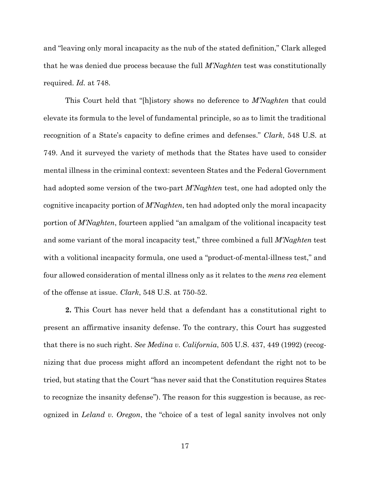and "leaving only moral incapacity as the nub of the stated definition," Clark alleged that he was denied due process because the full *M'Naghten* test was constitutionally required. *Id.* at 748.

This Court held that "[h]istory shows no deference to *M'Naghten* that could elevate its formula to the level of fundamental principle, so as to limit the traditional recognition of a State's capacity to define crimes and defenses." *Clark*, 548 U.S. at 749. And it surveyed the variety of methods that the States have used to consider mental illness in the criminal context: seventeen States and the Federal Government had adopted some version of the two-part *M'Naghten* test, one had adopted only the cognitive incapacity portion of *M'Naghten*, ten had adopted only the moral incapacity portion of *M'Naghten*, fourteen applied "an amalgam of the volitional incapacity test and some variant of the moral incapacity test," three combined a full *M'Naghten* test with a volitional incapacity formula, one used a "product-of-mental-illness test," and four allowed consideration of mental illness only as it relates to the *mens rea* element of the offense at issue. *Clark*, 548 U.S. at 750-52.

**2.** This Court has never held that a defendant has a constitutional right to present an affirmative insanity defense. To the contrary, this Court has suggested that there is no such right. *See Medina v. California*, 505 U.S. 437, 449 (1992) (recognizing that due process might afford an incompetent defendant the right not to be tried, but stating that the Court "has never said that the Constitution requires States to recognize the insanity defense"). The reason for this suggestion is because, as recognized in *Leland v. Oregon*, the "choice of a test of legal sanity involves not only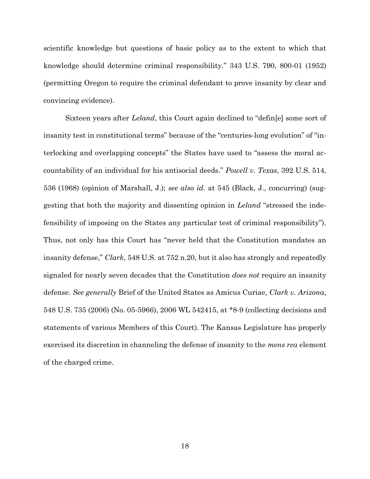scientific knowledge but questions of basic policy as to the extent to which that knowledge should determine criminal responsibility." 343 U.S. 790, 800-01 (1952) (permitting Oregon to require the criminal defendant to prove insanity by clear and convincing evidence).

<span id="page-23-0"></span>Sixteen years after *Leland*, this Court again declined to "defin[e] some sort of insanity test in constitutional terms" because of the "centuries-long evolution" of "interlocking and overlapping concepts" the States have used to "assess the moral accountability of an individual for his antisocial deeds." *Powell v. Texas*, 392 U.S. 514, 536 (1968) (opinion of Marshall, J.); *see also id.* at 545 (Black, J., concurring) (suggesting that both the majority and dissenting opinion in *Leland* "stressed the indefensibility of imposing on the States any particular test of criminal responsibility"). Thus, not only has this Court has "never held that the Constitution mandates an insanity defense," *Clark*, 548 U.S. at 752 n.20, but it also has strongly and repeatedly signaled for nearly seven decades that the Constitution *does not* require an insanity defense. *See generally* Brief of the United States as Amicus Curiae, *Clark v. Arizona*, 548 U.S. 735 (2006) (No. 05-5966), 2006 WL 542415, at \*8-9 (collecting decisions and statements of various Members of this Court). The Kansas Legislature has properly exercised its discretion in channeling the defense of insanity to the *mens rea* element of the charged crime.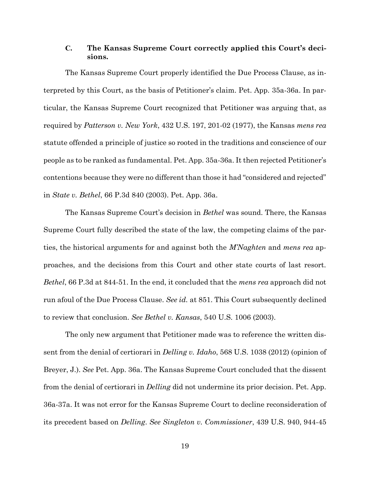## **C. The Kansas Supreme Court correctly applied this Court's decisions.**

The Kansas Supreme Court properly identified the Due Process Clause, as interpreted by this Court, as the basis of Petitioner's claim. Pet. App. 35a-36a. In particular, the Kansas Supreme Court recognized that Petitioner was arguing that, as required by *Patterson v. New York*, 432 U.S. 197, 201-02 (1977), the Kansas *mens rea*  statute offended a principle of justice so rooted in the traditions and conscience of our people as to be ranked as fundamental. Pet. App. 35a-36a. It then rejected Petitioner's contentions because they were no different than those it had "considered and rejected" in *State v. Bethel*, 66 P.3d 840 (2003). Pet. App. 36a.

The Kansas Supreme Court's decision in *Bethel* was sound. There, the Kansas Supreme Court fully described the state of the law, the competing claims of the parties, the historical arguments for and against both the *M'Naghten* and *mens rea* approaches, and the decisions from this Court and other state courts of last resort. *Bethel*, 66 P.3d at 844-51. In the end, it concluded that the *mens rea* approach did not run afoul of the Due Process Clause. *See id.* at 851. This Court subsequently declined to review that conclusion. *See Bethel v. Kansas*, 540 U.S. 1006 (2003).

The only new argument that Petitioner made was to reference the written dissent from the denial of certiorari in *Delling v. Idaho*, 568 U.S. 1038 (2012) (opinion of Breyer, J.). *See* Pet. App. 36a. The Kansas Supreme Court concluded that the dissent from the denial of certiorari in *Delling* did not undermine its prior decision. Pet. App. 36a-37a. It was not error for the Kansas Supreme Court to decline reconsideration of its precedent based on *Delling*. *See Singleton v. Commissioner*, 439 U.S. 940, 944-45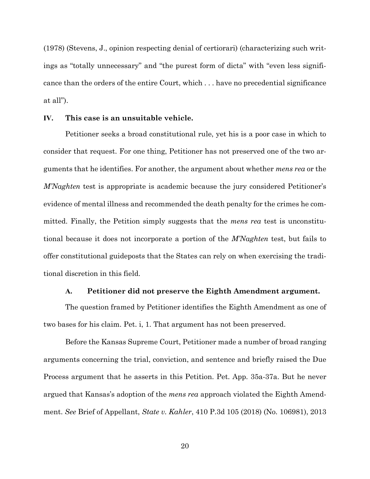(1978) (Stevens, J., opinion respecting denial of certiorari) (characterizing such writings as "totally unnecessary" and "the purest form of dicta" with "even less significance than the orders of the entire Court, which . . . have no precedential significance at all").

#### <span id="page-25-0"></span>**IV. This case is an unsuitable vehicle.**

Petitioner seeks a broad constitutional rule, yet his is a poor case in which to consider that request. For one thing, Petitioner has not preserved one of the two arguments that he identifies. For another, the argument about whether *mens rea* or the *M'Naghten* test is appropriate is academic because the jury considered Petitioner's evidence of mental illness and recommended the death penalty for the crimes he committed. Finally, the Petition simply suggests that the *mens rea* test is unconstitutional because it does not incorporate a portion of the *M'Naghten* test, but fails to offer constitutional guideposts that the States can rely on when exercising the traditional discretion in this field.

### **A. Petitioner did not preserve the Eighth Amendment argument.**

<span id="page-25-1"></span>The question framed by Petitioner identifies the Eighth Amendment as one of two bases for his claim. Pet. i, 1. That argument has not been preserved.

Before the Kansas Supreme Court, Petitioner made a number of broad ranging arguments concerning the trial, conviction, and sentence and briefly raised the Due Process argument that he asserts in this Petition. Pet. App. 35a-37a. But he never argued that Kansas's adoption of the *mens rea* approach violated the Eighth Amendment. *See* Brief of Appellant, *State v. Kahler*, 410 P.3d 105 (2018) (No. 106981), 2013

20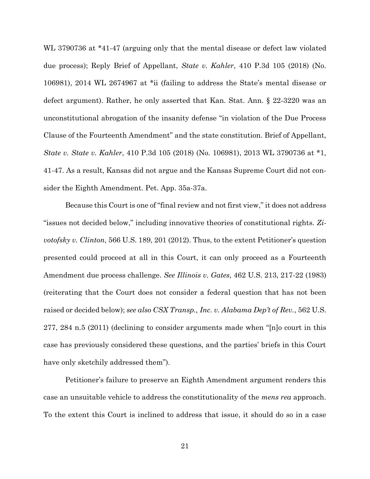WL 3790736 at \*41-47 (arguing only that the mental disease or defect law violated due process); Reply Brief of Appellant, *State v. Kahler*, 410 P.3d 105 (2018) (No. 106981), 2014 WL 2674967 at \*ii (failing to address the State's mental disease or defect argument). Rather, he only asserted that Kan. Stat. Ann. § 22-3220 was an unconstitutional abrogation of the insanity defense "in violation of the Due Process Clause of the Fourteenth Amendment" and the state constitution. Brief of Appellant, *State v. State v. Kahler*, 410 P.3d 105 (2018) (No. 106981), 2013 WL 3790736 at \*1, 41-47. As a result, Kansas did not argue and the Kansas Supreme Court did not consider the Eighth Amendment. Pet. App. 35a-37a.

Because this Court is one of "final review and not first view," it does not address "issues not decided below," including innovative theories of constitutional rights. *Zivotofsky v. Clinton*, 566 U.S. 189, 201 (2012). Thus, to the extent Petitioner's question presented could proceed at all in this Court, it can only proceed as a Fourteenth Amendment due process challenge. *See Illinois v. Gates*, 462 U.S. 213, 217-22 (1983) (reiterating that the Court does not consider a federal question that has not been raised or decided below); *see also CSX Transp., Inc. v. Alabama Dep't of Rev.*, 562 U.S. 277, 284 n.5 (2011) (declining to consider arguments made when "[n]o court in this case has previously considered these questions, and the parties' briefs in this Court have only sketchily addressed them").

Petitioner's failure to preserve an Eighth Amendment argument renders this case an unsuitable vehicle to address the constitutionality of the *mens rea* approach. To the extent this Court is inclined to address that issue, it should do so in a case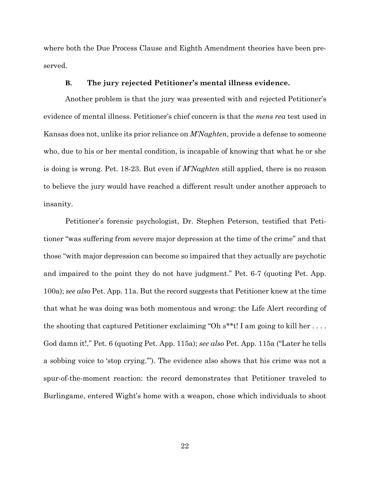where both the Due Process Clause and Eighth Amendment theories have been preserved.

#### **B. The jury rejected Petitioner's mental illness evidence.**

<span id="page-27-0"></span>Another problem is that the jury was presented with and rejected Petitioner's evidence of mental illness. Petitioner's chief concern is that the *mens rea* test used in Kansas does not, unlike its prior reliance on *M'Naghten*, provide a defense to someone who, due to his or her mental condition, is incapable of knowing that what he or she is doing is wrong. Pet. 18-23. But even if *M'Naghten* still applied, there is no reason to believe the jury would have reached a different result under another approach to insanity.

Petitioner's forensic psychologist, Dr. Stephen Peterson, testified that Petitioner "was suffering from severe major depression at the time of the crime" and that those "with major depression can become so impaired that they actually are psychotic and impaired to the point they do not have judgment." Pet. 6-7 (quoting Pet. App. 100a); *see also* Pet. App. 11a. But the record suggests that Petitioner knew at the time that what he was doing was both momentous and wrong: the Life Alert recording of the shooting that captured Petitioner exclaiming "Oh  $s^*$ t! I am going to kill her .... God damn it!," Pet. 6 (quoting Pet. App. 115a); *see also* Pet. App. 115a ("Later he tells a sobbing voice to 'stop crying.'"). The evidence also shows that his crime was not a spur-of-the-moment reaction: the record demonstrates that Petitioner traveled to Burlingame, entered Wight's home with a weapon, chose which individuals to shoot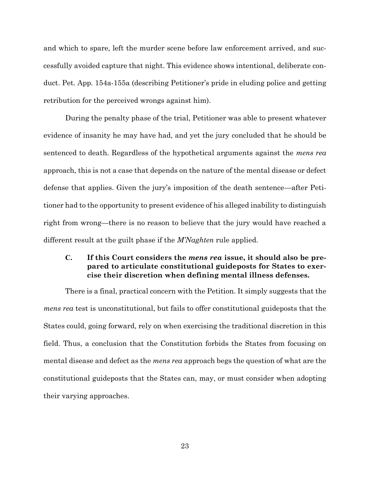and which to spare, left the murder scene before law enforcement arrived, and successfully avoided capture that night. This evidence shows intentional, deliberate conduct. Pet. App. 154a-155a (describing Petitioner's pride in eluding police and getting retribution for the perceived wrongs against him).

During the penalty phase of the trial, Petitioner was able to present whatever evidence of insanity he may have had, and yet the jury concluded that he should be sentenced to death. Regardless of the hypothetical arguments against the *mens rea* approach, this is not a case that depends on the nature of the mental disease or defect defense that applies. Given the jury's imposition of the death sentence—after Petitioner had to the opportunity to present evidence of his alleged inability to distinguish right from wrong—there is no reason to believe that the jury would have reached a different result at the guilt phase if the *M'Naghten* rule applied.

# <span id="page-28-0"></span>**C. If this Court considers the** *mens rea* **issue, it should also be prepared to articulate constitutional guideposts for States to exercise their discretion when defining mental illness defenses.**

There is a final, practical concern with the Petition. It simply suggests that the *mens rea* test is unconstitutional, but fails to offer constitutional guideposts that the States could, going forward, rely on when exercising the traditional discretion in this field. Thus, a conclusion that the Constitution forbids the States from focusing on mental disease and defect as the *mens rea* approach begs the question of what are the constitutional guideposts that the States can, may, or must consider when adopting their varying approaches.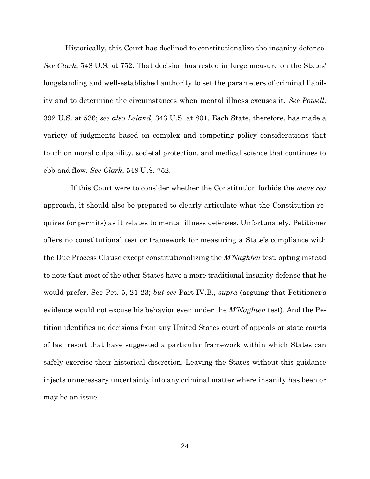Historically, this Court has declined to constitutionalize the insanity defense. *See Clark*, 548 U.S. at 752. That decision has rested in large measure on the States' longstanding and well-established authority to set the parameters of criminal liability and to determine the circumstances when mental illness excuses it. *See Powell*, 392 U.S. at 536; *see also Leland*, 343 U.S. at 801. Each State, therefore, has made a variety of judgments based on complex and competing policy considerations that touch on moral culpability, societal protection, and medical science that continues to ebb and flow. *See Clark*, 548 U.S. 752.

<span id="page-29-0"></span>If this Court were to consider whether the Constitution forbids the *mens rea* approach, it should also be prepared to clearly articulate what the Constitution requires (or permits) as it relates to mental illness defenses. Unfortunately, Petitioner offers no constitutional test or framework for measuring a State's compliance with the Due Process Clause except constitutionalizing the *M'Naghten* test, opting instead to note that most of the other States have a more traditional insanity defense that he would prefer. See Pet. 5, 21-23; *but see* Part IV.B., *supra* (arguing that Petitioner's evidence would not excuse his behavior even under the *M'Naghten* test). And the Petition identifies no decisions from any United States court of appeals or state courts of last resort that have suggested a particular framework within which States can safely exercise their historical discretion. Leaving the States without this guidance injects unnecessary uncertainty into any criminal matter where insanity has been or may be an issue.